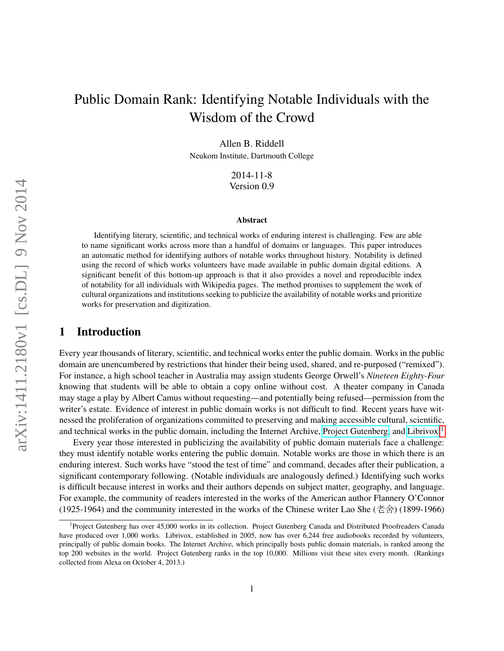# Public Domain Rank: Identifying Notable Individuals with the Wisdom of the Crowd

Allen B. Riddell

Neukom Institute, Dartmouth College

2014-11-8 Version 0.9

#### Abstract

Identifying literary, scientific, and technical works of enduring interest is challenging. Few are able to name significant works across more than a handful of domains or languages. This paper introduces an automatic method for identifying authors of notable works throughout history. Notability is defined using the record of which works volunteers have made available in public domain digital editions. A significant benefit of this bottom-up approach is that it also provides a novel and reproducible index of notability for all individuals with Wikipedia pages. The method promises to supplement the work of cultural organizations and institutions seeking to publicize the availability of notable works and prioritize works for preservation and digitization.

### 1 Introduction

Every year thousands of literary, scientific, and technical works enter the public domain. Works in the public domain are unencumbered by restrictions that hinder their being used, shared, and re-purposed ("remixed"). For instance, a high school teacher in Australia may assign students George Orwell's *Nineteen Eighty-Four* knowing that students will be able to obtain a copy online without cost. A theater company in Canada may stage a play by Albert Camus without requesting—and potentially being refused—permission from the writer's estate. Evidence of interest in public domain works is not difficult to find. Recent years have witnessed the proliferation of organizations committed to preserving and making accessible cultural, scientific, and technical works in the public domain, including the Internet Archive, [Project Gutenberg,](http://gutenberg.org) and [Librivox.](http://librivox.org/)[1](#page-0-0)

Every year those interested in publicizing the availability of public domain materials face a challenge: they must identify notable works entering the public domain. Notable works are those in which there is an enduring interest. Such works have "stood the test of time" and command, decades after their publication, a significant contemporary following. (Notable individuals are analogously defined.) Identifying such works is difficult because interest in works and their authors depends on subject matter, geography, and language. For example, the community of readers interested in the works of the American author Flannery O'Connor (1925-1964) and the community interested in the works of the Chinese writer Lao She (老舍) (1899-1966)

<span id="page-0-0"></span><sup>&</sup>lt;sup>1</sup>Project Gutenberg has over 45,000 works in its collection. Project Gutenberg Canada and Distributed Proofreaders Canada have produced over 1,000 works. Librivox, established in 2005, now has over 6,244 free audiobooks recorded by volunteers, principally of public domain books. The Internet Archive, which principally hosts public domain materials, is ranked among the top 200 websites in the world. Project Gutenberg ranks in the top 10,000. Millions visit these sites every month. (Rankings collected from Alexa on October 4, 2013.)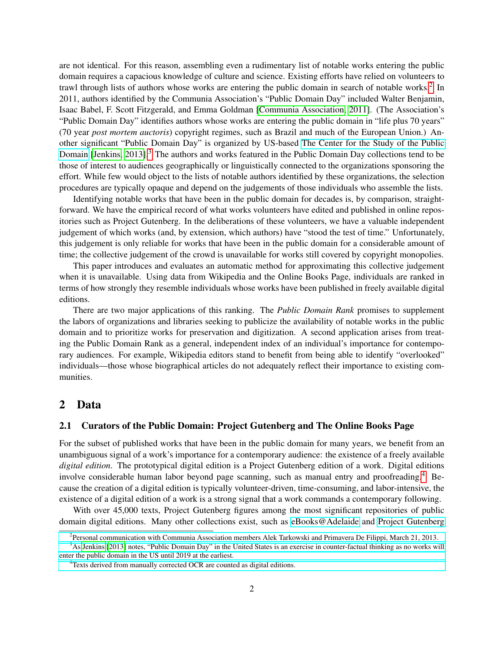are not identical. For this reason, assembling even a rudimentary list of notable works entering the public domain requires a capacious knowledge of culture and science. Existing efforts have relied on volunteers to trawl through lists of authors whose works are entering the public domain in search of notable works.<sup>[2](#page-1-0)</sup> In 2011, authors identified by the Communia Association's "Public Domain Day" included Walter Benjamin, Isaac Babel, F. Scott Fitzgerald, and Emma Goldman [\[Communia Association, 2011\]](#page-16-0). (The Association's "Public Domain Day" identifies authors whose works are entering the public domain in "life plus 70 years" (70 year *post mortem auctoris*) copyright regimes, such as Brazil and much of the European Union.) Another significant "Public Domain Day" is organized by US-based [The Center for the Study of the Public](http://web.law.duke.edu/cspd/publicdomainday) [Domain](http://web.law.duke.edu/cspd/publicdomainday) [\[Jenkins, 2013\]](#page-16-1).<sup>[3](#page-1-1)</sup> The authors and works featured in the Public Domain Day collections tend to be those of interest to audiences geographically or linguistically connected to the organizations sponsoring the effort. While few would object to the lists of notable authors identified by these organizations, the selection procedures are typically opaque and depend on the judgements of those individuals who assemble the lists.

Identifying notable works that have been in the public domain for decades is, by comparison, straightforward. We have the empirical record of what works volunteers have edited and published in online repositories such as Project Gutenberg. In the deliberations of these volunteers, we have a valuable independent judgement of which works (and, by extension, which authors) have "stood the test of time." Unfortunately, this judgement is only reliable for works that have been in the public domain for a considerable amount of time; the collective judgement of the crowd is unavailable for works still covered by copyright monopolies.

This paper introduces and evaluates an automatic method for approximating this collective judgement when it is unavailable. Using data from Wikipedia and the Online Books Page, individuals are ranked in terms of how strongly they resemble individuals whose works have been published in freely available digital editions.

There are two major applications of this ranking. The *Public Domain Rank* promises to supplement the labors of organizations and libraries seeking to publicize the availability of notable works in the public domain and to prioritize works for preservation and digitization. A second application arises from treating the Public Domain Rank as a general, independent index of an individual's importance for contemporary audiences. For example, Wikipedia editors stand to benefit from being able to identify "overlooked" individuals—those whose biographical articles do not adequately reflect their importance to existing communities.

# 2 Data

### 2.1 Curators of the Public Domain: Project Gutenberg and The Online Books Page

For the subset of published works that have been in the public domain for many years, we benefit from an unambiguous signal of a work's importance for a contemporary audience: the existence of a freely available *digital edition*. The prototypical digital edition is a Project Gutenberg edition of a work. Digital editions involve considerable human labor beyond page scanning, such as manual entry and proofreading.[4](#page-1-2) Because the creation of a digital edition is typically volunteer-driven, time-consuming, and labor-intensive, the existence of a digital edition of a work is a strong signal that a work commands a contemporary following.

With over 45,000 texts, Project Gutenberg figures among the most significant repositories of public domain digital editions. Many other collections exist, such as [eBooks@Adelaide](https://ebooks.adelaide.edu.au/) and [Project Gutenberg](http://www.gutenberg.ca/)

<span id="page-1-1"></span><span id="page-1-0"></span><sup>&</sup>lt;sup>2</sup> [Personal communication with Communia Association members Alek Tarkowski and Primavera De Filippi, March 21, 2013.](http://www.gutenberg.ca/)

<sup>&</sup>lt;sup>3</sup>[As Jenkins \[2013\] notes, "Public Domain Day" in the United States is an exercise in counter-factual thinking as no works will](http://www.gutenberg.ca/) [enter the public domain in the US until 2019 at the earliest.](http://www.gutenberg.ca/)

<span id="page-1-2"></span><sup>&</sup>lt;sup>4</sup>[Texts derived from manually corrected OCR are counted as digital editions.](http://www.gutenberg.ca/)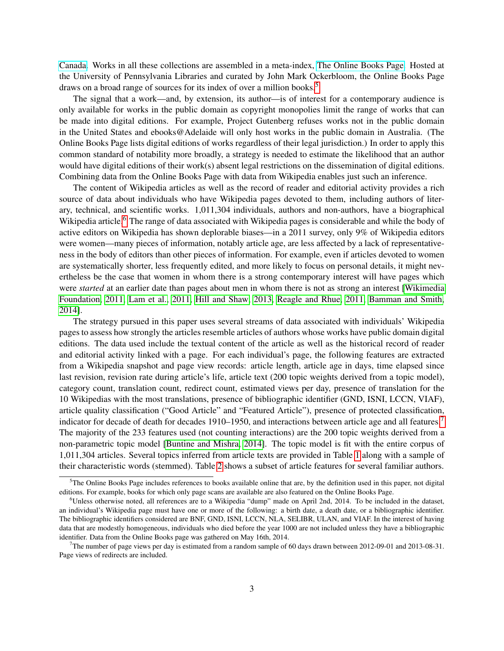[Canada.](http://www.gutenberg.ca/) Works in all these collections are assembled in a meta-index, [The Online Books Page.](http://onlinebooks.library.upenn.edu) Hosted at the University of Pennsylvania Libraries and curated by John Mark Ockerbloom, the Online Books Page draws on a broad range of sources for its index of over a million books.[5](#page-2-0)

The signal that a work—and, by extension, its author—is of interest for a contemporary audience is only available for works in the public domain as copyright monopolies limit the range of works that can be made into digital editions. For example, Project Gutenberg refuses works not in the public domain in the United States and ebooks@Adelaide will only host works in the public domain in Australia. (The Online Books Page lists digital editions of works regardless of their legal jurisdiction.) In order to apply this common standard of notability more broadly, a strategy is needed to estimate the likelihood that an author would have digital editions of their work(s) absent legal restrictions on the dissemination of digital editions. Combining data from the Online Books Page with data from Wikipedia enables just such an inference.

The content of Wikipedia articles as well as the record of reader and editorial activity provides a rich source of data about individuals who have Wikipedia pages devoted to them, including authors of literary, technical, and scientific works. 1,011,304 individuals, authors and non-authors, have a biographical Wikipedia article.<sup>[6](#page-2-1)</sup> The range of data associated with Wikipedia pages is considerable and while the body of active editors on Wikipedia has shown deplorable biases—in a 2011 survey, only 9% of Wikipedia editors were women—many pieces of information, notably article age, are less affected by a lack of representativeness in the body of editors than other pieces of information. For example, even if articles devoted to women are systematically shorter, less frequently edited, and more likely to focus on personal details, it might nevertheless be the case that women in whom there is a strong contemporary interest will have pages which were *started* at an earlier date than pages about men in whom there is not as strong an interest [\[Wikimedia](#page-17-0) [Foundation, 2011,](#page-17-0) [Lam et al., 2011,](#page-16-2) [Hill and Shaw, 2013,](#page-16-3) [Reagle and Rhue, 2011,](#page-16-4) [Bamman and Smith,](#page-16-5) [2014\]](#page-16-5).

The strategy pursued in this paper uses several streams of data associated with individuals' Wikipedia pages to assess how strongly the articles resemble articles of authors whose works have public domain digital editions. The data used include the textual content of the article as well as the historical record of reader and editorial activity linked with a page. For each individual's page, the following features are extracted from a Wikipedia snapshot and page view records: article length, article age in days, time elapsed since last revision, revision rate during article's life, article text (200 topic weights derived from a topic model), category count, translation count, redirect count, estimated views per day, presence of translation for the 10 Wikipedias with the most translations, presence of bibliographic identifier (GND, ISNI, LCCN, VIAF), article quality classification ("Good Article" and "Featured Article"), presence of protected classification, indicator for decade of death for decades 1910–1950, and interactions between article age and all features.[7](#page-2-2) The majority of the 233 features used (not counting interactions) are the 200 topic weights derived from a non-parametric topic model [\[Buntine and Mishra, 2014\]](#page-16-6). The topic model is fit with the entire corpus of 1,011,304 articles. Several topics inferred from article texts are provided in Table [1](#page-3-0) along with a sample of their characteristic words (stemmed). Table [2](#page-3-1) shows a subset of article features for several familiar authors.

<span id="page-2-0"></span> $5$ The Online Books Page includes references to books available online that are, by the definition used in this paper, not digital editions. For example, books for which only page scans are available are also featured on the Online Books Page.

<span id="page-2-1"></span><sup>6</sup>Unless otherwise noted, all references are to a Wikipedia "dump" made on April 2nd, 2014. To be included in the dataset, an individual's Wikipedia page must have one or more of the following: a birth date, a death date, or a bibliographic identifier. The bibliographic identifiers considered are BNF, GND, ISNI, LCCN, NLA, SELIBR, ULAN, and VIAF. In the interest of having data that are modestly homogeneous, individuals who died before the year 1000 are not included unless they have a bibliographic identifier. Data from the Online Books page was gathered on May 16th, 2014.

<span id="page-2-2"></span><sup>&</sup>lt;sup>7</sup>The number of page views per day is estimated from a random sample of 60 days drawn between 2012-09-01 and 2013-08-31. Page views of redirects are included.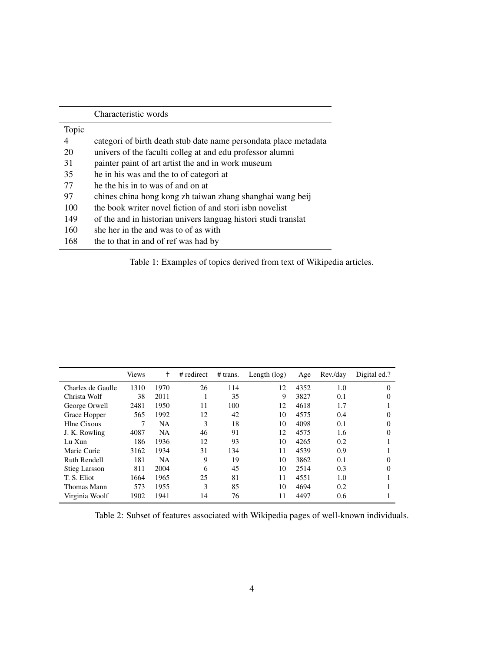|       | Characteristic words                                             |
|-------|------------------------------------------------------------------|
| Topic |                                                                  |
| 4     | categori of birth death stub date name persondata place metadata |
| 20    | univers of the faculti colleg at and edu professor alumni        |
| 31    | painter paint of art artist the and in work museum               |
| 35    | he in his was and the to of categori at                          |
| 77    | he the his in to was of and on at                                |
| 97    | chines china hong kong zh taiwan zhang shanghai wang beij        |
| 100   | the book writer novel fiction of and stori ish novelist          |
| 149   | of the and in historian univers languag histori studi translat   |
| 160   | she her in the and was to of as with                             |
| 168   | the to that in and of ref was had by                             |

<span id="page-3-0"></span>Table 1: Examples of topics derived from text of Wikipedia articles.

|                      | <b>Views</b> | t         | # redirect | # trans. | Length $(\log)$ | Age  | Rev./day | Digital ed.? |
|----------------------|--------------|-----------|------------|----------|-----------------|------|----------|--------------|
| Charles de Gaulle    | 1310         | 1970      | 26         | 114      | 12              | 4352 | 1.0      | $\Omega$     |
| Christa Wolf         | 38           | 2011      |            | 35       | 9               | 3827 | 0.1      |              |
| George Orwell        | 2481         | 1950      | 11         | 100      | 12              | 4618 | 1.7      |              |
| Grace Hopper         | 565          | 1992      | 12         | 42       | 10              | 4575 | 0.4      | $\Omega$     |
| Hlne Cixous          |              | NA        | 3          | 18       | 10              | 4098 | 0.1      |              |
| J. K. Rowling        | 4087         | <b>NA</b> | 46         | 91       | 12              | 4575 | 1.6      | $\Omega$     |
| Lu Xun               | 186          | 1936      | 12         | 93       | 10              | 4265 | 0.2      |              |
| Marie Curie          | 3162         | 1934      | 31         | 134      | 11              | 4539 | 0.9      |              |
| <b>Ruth Rendell</b>  | 181          | <b>NA</b> | 9          | 19       | 10              | 3862 | 0.1      |              |
| <b>Stieg Larsson</b> | 811          | 2004      | 6          | 45       | 10              | 2514 | 0.3      | $\Omega$     |
| T. S. Eliot          | 1664         | 1965      | 25         | 81       | 11              | 4551 | 1.0      |              |
| Thomas Mann          | 573          | 1955      | 3          | 85       | 10              | 4694 | 0.2      |              |
| Virginia Woolf       | 1902         | 1941      | 14         | 76       | 11              | 4497 | 0.6      |              |

<span id="page-3-1"></span>Table 2: Subset of features associated with Wikipedia pages of well-known individuals.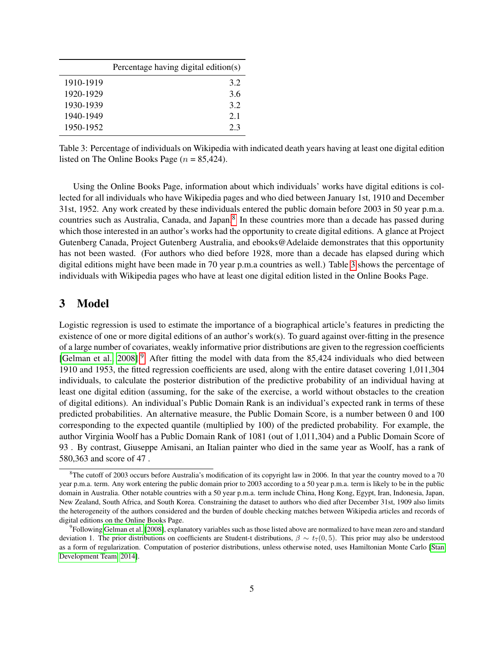|           | Percentage having digital edition(s) |
|-----------|--------------------------------------|
| 1910-1919 | 3.2                                  |
| 1920-1929 | 3.6                                  |
| 1930-1939 | 3.2                                  |
| 1940-1949 | 2.1                                  |
| 1950-1952 | 2.3                                  |

<span id="page-4-1"></span>Table 3: Percentage of individuals on Wikipedia with indicated death years having at least one digital edition listed on The Online Books Page ( $n = 85,424$ ).

Using the Online Books Page, information about which individuals' works have digital editions is collected for all individuals who have Wikipedia pages and who died between January 1st, 1910 and December 31st, 1952. Any work created by these individuals entered the public domain before 2003 in 50 year p.m.a. countries such as Australia, Canada, and Japan.<sup>[8](#page-4-0)</sup> In these countries more than a decade has passed during which those interested in an author's works had the opportunity to create digital editions. A glance at Project Gutenberg Canada, Project Gutenberg Australia, and ebooks@Adelaide demonstrates that this opportunity has not been wasted. (For authors who died before 1928, more than a decade has elapsed during which digital editions might have been made in 70 year p.m.a countries as well.) Table [3](#page-4-1) shows the percentage of individuals with Wikipedia pages who have at least one digital edition listed in the Online Books Page.

### 3 Model

Logistic regression is used to estimate the importance of a biographical article's features in predicting the existence of one or more digital editions of an author's work(s). To guard against over-fitting in the presence of a large number of covariates, weakly informative prior distributions are given to the regression coefficients [\[Gelman et al., 2008\]](#page-16-7).<sup>[9](#page-4-2)</sup> After fitting the model with data from the 85,424 individuals who died between 1910 and 1953, the fitted regression coefficients are used, along with the entire dataset covering 1,011,304 individuals, to calculate the posterior distribution of the predictive probability of an individual having at least one digital edition (assuming, for the sake of the exercise, a world without obstacles to the creation of digital editions). An individual's Public Domain Rank is an individual's expected rank in terms of these predicted probabilities. An alternative measure, the Public Domain Score, is a number between 0 and 100 corresponding to the expected quantile (multiplied by 100) of the predicted probability. For example, the author Virginia Woolf has a Public Domain Rank of 1081 (out of 1,011,304) and a Public Domain Score of 93 . By contrast, Giuseppe Amisani, an Italian painter who died in the same year as Woolf, has a rank of 580,363 and score of 47 .

<span id="page-4-0"></span><sup>&</sup>lt;sup>8</sup>The cutoff of 2003 occurs before Australia's modification of its copyright law in 2006. In that year the country moved to a 70 year p.m.a. term. Any work entering the public domain prior to 2003 according to a 50 year p.m.a. term is likely to be in the public domain in Australia. Other notable countries with a 50 year p.m.a. term include China, Hong Kong, Egypt, Iran, Indonesia, Japan, New Zealand, South Africa, and South Korea. Constraining the dataset to authors who died after December 31st, 1909 also limits the heterogeneity of the authors considered and the burden of double checking matches between Wikipedia articles and records of digital editions on the Online Books Page.

<span id="page-4-2"></span><sup>&</sup>lt;sup>9</sup>Following [Gelman et al.](#page-16-7) [\[2008\]](#page-16-7), explanatory variables such as those listed above are normalized to have mean zero and standard deviation 1. The prior distributions on coefficients are Student-t distributions,  $\beta \sim t_7(0, 5)$ . This prior may also be understood as a form of regularization. Computation of posterior distributions, unless otherwise noted, uses Hamiltonian Monte Carlo [\[Stan](#page-17-1) [Development Team, 2014\]](#page-17-1).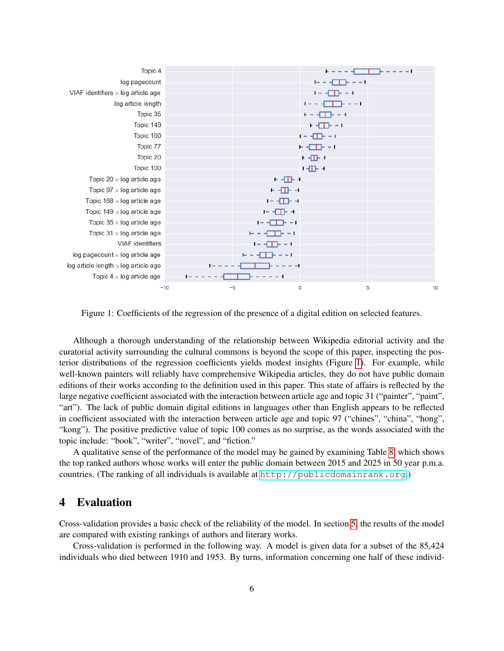| Topic 4                                       |           |                                         |                                                                  |         |
|-----------------------------------------------|-----------|-----------------------------------------|------------------------------------------------------------------|---------|
| log pagecount                                 |           |                                         | $\mathbf{I} = \mathbf{I} + \mathbf{I} + \mathbf{I} + \mathbf{I}$ |         |
| VIAF identifiers $\times$ log article age     |           |                                         | $1 - \sqrt{11} - 4$                                              |         |
| log article length                            |           |                                         |                                                                  |         |
| Topic 35                                      |           |                                         | + - - <del>- 11</del> - - +                                      |         |
| Topic 149                                     |           |                                         | + +⊞+ ++                                                         |         |
| Topic 160                                     |           |                                         | + + + + + + + + + +                                              |         |
| Topic 77                                      |           |                                         | + + + + + + +                                                    |         |
| Topic 20                                      |           |                                         | + ⊣⊞− +                                                          |         |
| Topic 100                                     |           |                                         | + -⊞ +                                                           |         |
| Topic 20 $\times$ log article age             |           | $-1$                                    |                                                                  |         |
| Topic 97 $\times$ log article age             |           | - - - - - -                             |                                                                  |         |
| Topic 168 $\times$ log article age            |           | 1- -EB- -1                              |                                                                  |         |
| Topic 149 $\times$ log article age            |           | $-1$ $-1$                               |                                                                  |         |
| Topic $35 \times$ log article age             |           | $\mathbf{I} = -\mathbf{I}$ . The set of |                                                                  |         |
| Topic 31 $\times$ log article age             |           |                                         |                                                                  |         |
| <b>VIAF</b> identifiers                       |           | $1 - \sqrt{11} + \sqrt{11}$             |                                                                  |         |
| $log$ pagecount $\times$ log article age      |           | F - - T - - - 1                         |                                                                  |         |
| $log$ article length $\times$ log article age | $1 - - -$ | - - - - - -                             |                                                                  |         |
| Topic $4 \times$ log article age              |           | -----                                   |                                                                  |         |
| $-10$                                         | $-5$      | 0                                       |                                                                  | 5<br>10 |

<span id="page-5-0"></span>Figure 1: Coefficients of the regression of the presence of a digital edition on selected features.

Although a thorough understanding of the relationship between Wikipedia editorial activity and the curatorial activity surrounding the cultural commons is beyond the scope of this paper, inspecting the posterior distributions of the regression coefficients yields modest insights (Figure [1\)](#page-5-0). For example, while well-known painters will reliably have comprehensive Wikipedia articles, they do not have public domain editions of their works according to the definition used in this paper. This state of affairs is reflected by the large negative coefficient associated with the interaction between article age and topic 31 ("painter", "paint", "art"). The lack of public domain digital editions in languages other than English appears to be reflected in coefficient associated with the interaction between article age and topic 97 ("chines", "china", "hong", "kong"). The positive predictive value of topic 100 comes as no surprise, as the words associated with the topic include: "book", "writer", "novel", and "fiction."

A qualitative sense of the performance of the model may be gained by examining Table [8,](#page-12-0) which shows the top ranked authors whose works will enter the public domain between 2015 and 2025 in 50 year p.m.a. countries. (The ranking of all individuals is available at <http://publicdomainrank.org>.)

## 4 Evaluation

Cross-validation provides a basic check of the reliability of the model. In section [5,](#page-6-0) the results of the model are compared with existing rankings of authors and literary works.

Cross-validation is performed in the following way. A model is given data for a subset of the 85,424 individuals who died between 1910 and 1953. By turns, information concerning one half of these individ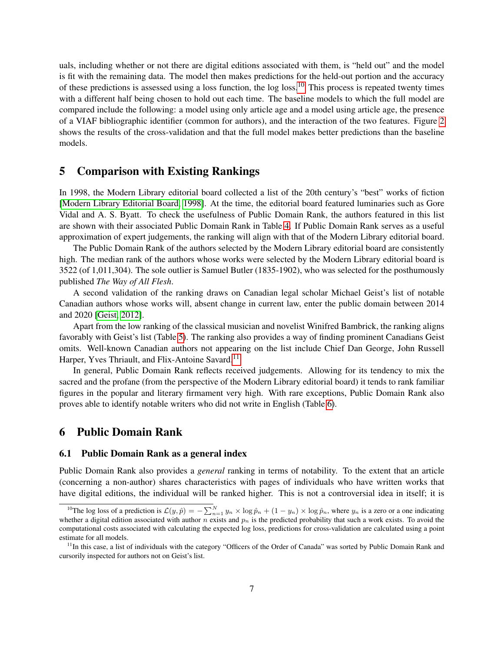uals, including whether or not there are digital editions associated with them, is "held out" and the model is fit with the remaining data. The model then makes predictions for the held-out portion and the accuracy of these predictions is assessed using a loss function, the log loss.<sup>[10](#page-6-1)</sup> This process is repeated twenty times with a different half being chosen to hold out each time. The baseline models to which the full model are compared include the following: a model using only article age and a model using article age, the presence of a VIAF bibliographic identifier (common for authors), and the interaction of the two features. Figure [2](#page-7-0) shows the results of the cross-validation and that the full model makes better predictions than the baseline models.

### <span id="page-6-0"></span>5 Comparison with Existing Rankings

In 1998, the Modern Library editorial board collected a list of the 20th century's "best" works of fiction [\[Modern Library Editorial Board, 1998\]](#page-16-8). At the time, the editorial board featured luminaries such as Gore Vidal and A. S. Byatt. To check the usefulness of Public Domain Rank, the authors featured in this list are shown with their associated Public Domain Rank in Table [4.](#page-8-0) If Public Domain Rank serves as a useful approximation of expert judgements, the ranking will align with that of the Modern Library editorial board.

The Public Domain Rank of the authors selected by the Modern Library editorial board are consistently high. The median rank of the authors whose works were selected by the Modern Library editorial board is 3522 (of 1,011,304). The sole outlier is Samuel Butler (1835-1902), who was selected for the posthumously published *The Way of All Flesh*.

A second validation of the ranking draws on Canadian legal scholar Michael Geist's list of notable Canadian authors whose works will, absent change in current law, enter the public domain between 2014 and 2020 [\[Geist, 2012\]](#page-16-9).

Apart from the low ranking of the classical musician and novelist Winifred Bambrick, the ranking aligns favorably with Geist's list (Table [5\)](#page-9-0). The ranking also provides a way of finding prominent Canadians Geist omits. Well-known Canadian authors not appearing on the list include Chief Dan George, John Russell Harper, Yves Thriault, and Flix-Antoine Savard.<sup>[11](#page-6-2)</sup>

In general, Public Domain Rank reflects received judgements. Allowing for its tendency to mix the sacred and the profane (from the perspective of the Modern Library editorial board) it tends to rank familiar figures in the popular and literary firmament very high. With rare exceptions, Public Domain Rank also proves able to identify notable writers who did not write in English (Table [6\)](#page-9-1).

### 6 Public Domain Rank

#### 6.1 Public Domain Rank as a general index

Public Domain Rank also provides a *general* ranking in terms of notability. To the extent that an article (concerning a non-author) shares characteristics with pages of individuals who have written works that have digital editions, the individual will be ranked higher. This is not a controversial idea in itself; it is

<span id="page-6-1"></span><sup>&</sup>lt;sup>10</sup>The log loss of a prediction is  $\mathcal{L}(y, \hat{p}) = -\sum_{n=1}^{N} y_n \times \log \hat{p}_n + (1 - y_n) \times \log \hat{p}_n$ , where  $y_n$  is a zero or a one indicating whether a digital edition associated with author n exists and  $p_n$  is the predicted probability that such a work exists. To avoid the computational costs associated with calculating the expected log loss, predictions for cross-validation are calculated using a point estimate for all models.

<span id="page-6-2"></span> $11$ In this case, a list of individuals with the category "Officers of the Order of Canada" was sorted by Public Domain Rank and cursorily inspected for authors not on Geist's list.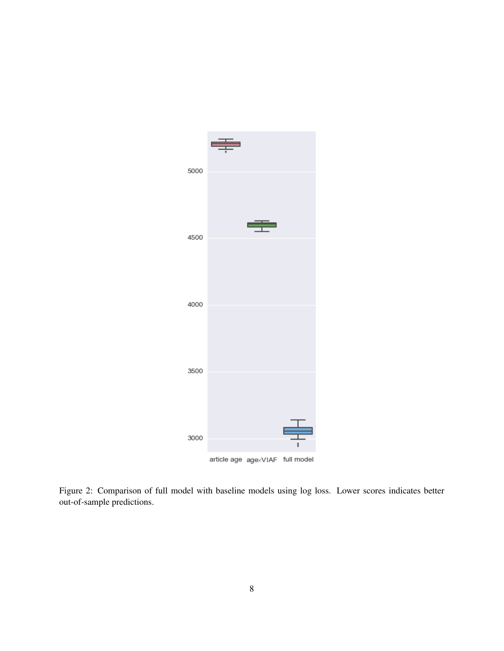

<span id="page-7-0"></span>Figure 2: Comparison of full model with baseline models using log loss. Lower scores indicates better out-of-sample predictions.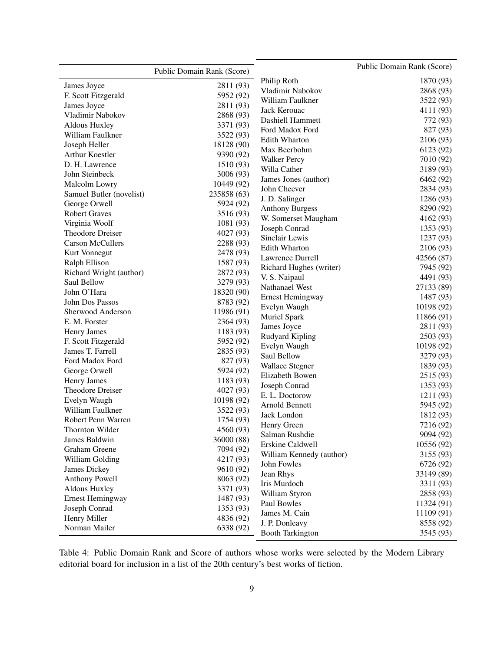|                          | Public Domain Rank (Score) |                          | Public Domain Rank (Score) |
|--------------------------|----------------------------|--------------------------|----------------------------|
| James Joyce              | 2811 (93)                  | Philip Roth              | 1870 (93)                  |
| F. Scott Fitzgerald      | 5952 (92)                  | Vladimir Nabokov         | 2868 (93)                  |
| James Joyce              | 2811 (93)                  | William Faulkner         | 3522 (93)                  |
| Vladimir Nabokov         | 2868 (93)                  | Jack Kerouac             | 4111 (93)                  |
| Aldous Huxley            |                            | Dashiell Hammett         | 772 (93)                   |
| William Faulkner         | 3371 (93)<br>3522 (93)     | Ford Madox Ford          | 827 (93)                   |
| Joseph Heller            | 18128 (90)                 | <b>Edith Wharton</b>     | 2106 (93)                  |
| Arthur Koestler          | 9390 (92)                  | Max Beerbohm             | 6123 (92)                  |
| D. H. Lawrence           | 1510 (93)                  | <b>Walker Percy</b>      | 7010 (92)                  |
| John Steinbeck           | 3006 (93)                  | Willa Cather             | 3189 (93)                  |
| Malcolm Lowry            | 10449 (92)                 | James Jones (author)     | 6462 (92)                  |
|                          |                            | John Cheever             | 2834 (93)                  |
| Samuel Butler (novelist) | 235858 (63)                | J. D. Salinger           | 1286 (93)                  |
| George Orwell            | 5924 (92)                  | <b>Anthony Burgess</b>   | 8290 (92)                  |
| <b>Robert Graves</b>     | 3516 (93)                  | W. Somerset Maugham      | 4162 (93)                  |
| Virginia Woolf           | 1081 (93)                  | Joseph Conrad            | 1353 (93)                  |
| Theodore Dreiser         | 4027 (93)                  | Sinclair Lewis           | 1237 (93)                  |
| <b>Carson McCullers</b>  | 2288 (93)                  | <b>Edith Wharton</b>     | 2106 (93)                  |
| Kurt Vonnegut            | 2478 (93)                  | Lawrence Durrell         | 42566 (87)                 |
| Ralph Ellison            | 1587 (93)                  | Richard Hughes (writer)  | 7945 (92)                  |
| Richard Wright (author)  | 2872 (93)                  | V. S. Naipaul            | 4491 (93)                  |
| Saul Bellow              | 3279 (93)                  | Nathanael West           | 27133 (89)                 |
| John O'Hara              | 18320 (90)                 | <b>Ernest Hemingway</b>  | 1487 (93)                  |
| John Dos Passos          | 8783 (92)                  | Evelyn Waugh             | 10198 (92)                 |
| Sherwood Anderson        | 11986 (91)                 | Muriel Spark             | 11866 (91)                 |
| E. M. Forster            | 2364 (93)                  | James Joyce              | 2811 (93)                  |
| <b>Henry James</b>       | 1183 (93)                  | Rudyard Kipling          | 2503 (93)                  |
| F. Scott Fitzgerald      | 5952 (92)                  | Evelyn Waugh             | 10198 (92)                 |
| James T. Farrell         | 2835 (93)                  | Saul Bellow              | 3279 (93)                  |
| Ford Madox Ford          | 827 (93)                   | <b>Wallace Stegner</b>   | 1839 (93)                  |
| George Orwell            | 5924 (92)                  | Elizabeth Bowen          | 2515 (93)                  |
| <b>Henry James</b>       | 1183 (93)                  | Joseph Conrad            | 1353 (93)                  |
| Theodore Dreiser         | 4027 (93)                  | E. L. Doctorow           | 1211 (93)                  |
| Evelyn Waugh             | 10198 (92)                 | Arnold Bennett           | 5945 (92)                  |
| William Faulkner         | 3522 (93)                  | Jack London              | 1812 (93)                  |
| Robert Penn Warren       | 1754 (93)                  | Henry Green              | 7216 (92)                  |
| Thornton Wilder          | 4560 (93)                  | Salman Rushdie           | 9094 (92)                  |
| James Baldwin            | 36000 (88)                 | Erskine Caldwell         | 10556 (92)                 |
| Graham Greene            | 7094 (92)                  | William Kennedy (author) | 3155 (93)                  |
| William Golding          | 4217 (93)                  | John Fowles              | 6726 (92)                  |
| James Dickey             | 9610 (92)                  | Jean Rhys                | 33149 (89)                 |
| Anthony Powell           | 8063 (92)                  | Iris Murdoch             | 3311 (93)                  |
| Aldous Huxley            | 3371 (93)                  | William Styron           | 2858 (93)                  |
| <b>Ernest Hemingway</b>  | 1487 (93)                  | Paul Bowles              | 11324(91)                  |
| Joseph Conrad            | 1353 (93)                  | James M. Cain            | 11109(91)                  |
| Henry Miller             | 4836 (92)                  | J. P. Donleavy           | 8558 (92)                  |
| Norman Mailer            | 6338 (92)                  | <b>Booth Tarkington</b>  | 3545 (93)                  |

<span id="page-8-0"></span>Table 4: Public Domain Rank and Score of authors whose works were selected by the Modern Library editorial board for inclusion in a list of the 20th century's best works of fiction.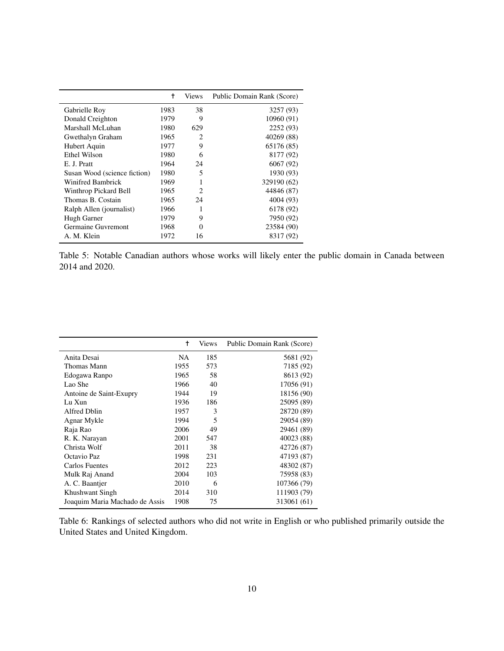|                              | t    | <b>Views</b>                | Public Domain Rank (Score) |
|------------------------------|------|-----------------------------|----------------------------|
| Gabrielle Roy                | 1983 | 38                          | 3257 (93)                  |
| Donald Creighton             | 1979 | 9                           | 10960 (91)                 |
| Marshall McLuhan             | 1980 | 629                         | 2252 (93)                  |
| Gwethalyn Graham             | 1965 | 2                           | 40269 (88)                 |
| Hubert Aquin                 | 1977 | 9                           | 65176 (85)                 |
| Ethel Wilson                 | 1980 | 6                           | 8177 (92)                  |
| E. J. Pratt                  | 1964 | 24                          | 6067(92)                   |
| Susan Wood (science fiction) | 1980 | 5                           | 1930 (93)                  |
| Winifred Bambrick            | 1969 |                             | 329190 (62)                |
| Winthrop Pickard Bell        | 1965 | $\mathcal{D}_{\mathcal{A}}$ | 44846 (87)                 |
| Thomas B. Costain            | 1965 | 24                          | 4004 (93)                  |
| Ralph Allen (journalist)     | 1966 | 1                           | 6178 (92)                  |
| Hugh Garner                  | 1979 | 9                           | 7950 (92)                  |
| Germaine Guvremont           | 1968 | 0                           | 23584 (90)                 |
| A. M. Klein                  | 1972 | 16                          | 8317 (92)                  |

<span id="page-9-0"></span>Table 5: Notable Canadian authors whose works will likely enter the public domain in Canada between 2014 and 2020.

|                                | t    | <b>Views</b> | Public Domain Rank (Score) |
|--------------------------------|------|--------------|----------------------------|
| Anita Desai                    | NA.  | 185          | 5681 (92)                  |
| Thomas Mann                    | 1955 | 573          | 7185 (92)                  |
| Edogawa Ranpo                  | 1965 | 58           | 8613 (92)                  |
| Lao She                        | 1966 | 40           | 17056 (91)                 |
| Antoine de Saint-Exupry        | 1944 | 19           | 18156 (90)                 |
| Lu Xun                         | 1936 | 186          | 25095 (89)                 |
| Alfred Dhlin                   | 1957 | 3            | 28720 (89)                 |
| Agnar Mykle                    | 1994 | 5            | 29054 (89)                 |
| Raja Rao                       | 2006 | 49           | 29461 (89)                 |
| R. K. Narayan                  | 2001 | 547          | 40023 (88)                 |
| Christa Wolf                   | 2011 | 38           | 42726 (87)                 |
| Octavio Paz                    | 1998 | 231          | 47193 (87)                 |
| Carlos Fuentes                 | 2012 | 223          | 48302 (87)                 |
| Mulk Raj Anand                 | 2004 | 103          | 75958 (83)                 |
| A. C. Baantjer                 | 2010 | 6            | 107366 (79)                |
| <b>Khushwant Singh</b>         | 2014 | 310          | 111903 (79)                |
| Joaquim Maria Machado de Assis | 1908 | 75           | 313061 (61)                |

<span id="page-9-1"></span>Table 6: Rankings of selected authors who did not write in English or who published primarily outside the United States and United Kingdom.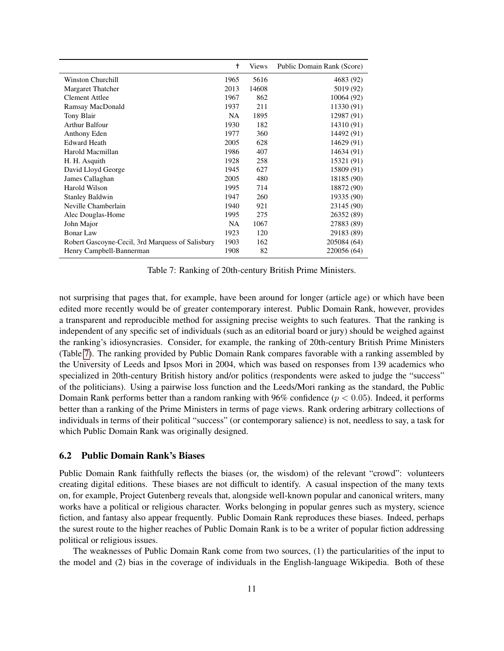|                                                  | t         | <b>Views</b> | Public Domain Rank (Score) |
|--------------------------------------------------|-----------|--------------|----------------------------|
| <b>Winston Churchill</b>                         | 1965      | 5616         | 4683 (92)                  |
| <b>Margaret Thatcher</b>                         | 2013      | 14608        | 5019 (92)                  |
| <b>Clement Attlee</b>                            | 1967      | 862          | 10064 (92)                 |
| Ramsay MacDonald                                 | 1937      | 211          | 11330 (91)                 |
| Tony Blair                                       | <b>NA</b> | 1895         | 12987 (91)                 |
| Arthur Balfour                                   | 1930      | 182          | 14310 (91)                 |
| Anthony Eden                                     | 1977      | 360          | 14492 (91)                 |
| <b>Edward Heath</b>                              | 2005      | 628          | 14629 (91)                 |
| Harold Macmillan                                 | 1986      | 407          | 14634 (91)                 |
| H. H. Asquith                                    | 1928      | 258          | 15321 (91)                 |
| David Lloyd George                               | 1945      | 627          | 15809 (91)                 |
| James Callaghan                                  | 2005      | 480          | 18185 (90)                 |
| Harold Wilson                                    | 1995      | 714          | 18872 (90)                 |
| <b>Stanley Baldwin</b>                           | 1947      | 260          | 19335 (90)                 |
| Neville Chamberlain                              | 1940      | 921          | 23145 (90)                 |
| Alec Douglas-Home                                | 1995      | 275          | 26352 (89)                 |
| John Major                                       | <b>NA</b> | 1067         | 27883 (89)                 |
| <b>Bonar Law</b>                                 | 1923      | 120          | 29183 (89)                 |
| Robert Gascoyne-Cecil, 3rd Marquess of Salisbury | 1903      | 162          | 205084 (64)                |
| Henry Campbell-Bannerman                         | 1908      | 82           | 220056 (64)                |

<span id="page-10-0"></span>Table 7: Ranking of 20th-century British Prime Ministers.

not surprising that pages that, for example, have been around for longer (article age) or which have been edited more recently would be of greater contemporary interest. Public Domain Rank, however, provides a transparent and reproducible method for assigning precise weights to such features. That the ranking is independent of any specific set of individuals (such as an editorial board or jury) should be weighed against the ranking's idiosyncrasies. Consider, for example, the ranking of 20th-century British Prime Ministers (Table [7\)](#page-10-0). The ranking provided by Public Domain Rank compares favorable with a ranking assembled by the University of Leeds and Ipsos Mori in 2004, which was based on responses from 139 academics who specialized in 20th-century British history and/or politics (respondents were asked to judge the "success" of the politicians). Using a pairwise loss function and the Leeds/Mori ranking as the standard, the Public Domain Rank performs better than a random ranking with 96% confidence ( $p < 0.05$ ). Indeed, it performs better than a ranking of the Prime Ministers in terms of page views. Rank ordering arbitrary collections of individuals in terms of their political "success" (or contemporary salience) is not, needless to say, a task for which Public Domain Rank was originally designed.

#### 6.2 Public Domain Rank's Biases

Public Domain Rank faithfully reflects the biases (or, the wisdom) of the relevant "crowd": volunteers creating digital editions. These biases are not difficult to identify. A casual inspection of the many texts on, for example, Project Gutenberg reveals that, alongside well-known popular and canonical writers, many works have a political or religious character. Works belonging in popular genres such as mystery, science fiction, and fantasy also appear frequently. Public Domain Rank reproduces these biases. Indeed, perhaps the surest route to the higher reaches of Public Domain Rank is to be a writer of popular fiction addressing political or religious issues.

The weaknesses of Public Domain Rank come from two sources, (1) the particularities of the input to the model and (2) bias in the coverage of individuals in the English-language Wikipedia. Both of these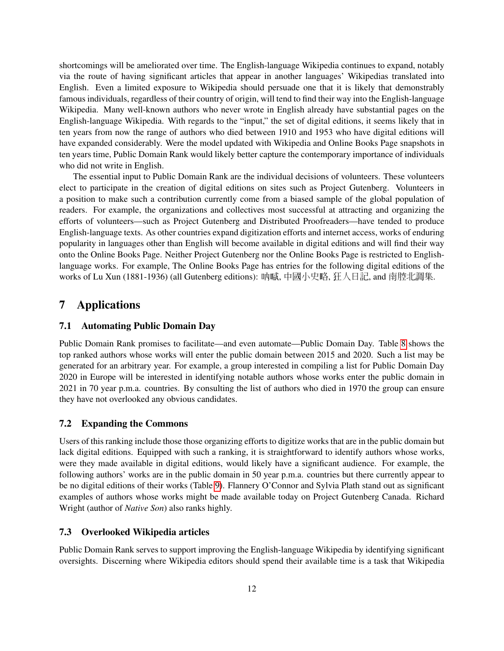shortcomings will be ameliorated over time. The English-language Wikipedia continues to expand, notably via the route of having significant articles that appear in another languages' Wikipedias translated into English. Even a limited exposure to Wikipedia should persuade one that it is likely that demonstrably famous individuals, regardless of their country of origin, will tend to find their way into the English-language Wikipedia. Many well-known authors who never wrote in English already have substantial pages on the English-language Wikipedia. With regards to the "input," the set of digital editions, it seems likely that in ten years from now the range of authors who died between 1910 and 1953 who have digital editions will have expanded considerably. Were the model updated with Wikipedia and Online Books Page snapshots in ten years time, Public Domain Rank would likely better capture the contemporary importance of individuals who did not write in English.

The essential input to Public Domain Rank are the individual decisions of volunteers. These volunteers elect to participate in the creation of digital editions on sites such as Project Gutenberg. Volunteers in a position to make such a contribution currently come from a biased sample of the global population of readers. For example, the organizations and collectives most successful at attracting and organizing the efforts of volunteers—such as Project Gutenberg and Distributed Proofreaders—have tended to produce English-language texts. As other countries expand digitization efforts and internet access, works of enduring popularity in languages other than English will become available in digital editions and will find their way onto the Online Books Page. Neither Project Gutenberg nor the Online Books Page is restricted to Englishlanguage works. For example, The Online Books Page has entries for the following digital editions of the works of Lu Xun (1881-1936) (all Gutenberg editions): 吶喊, 中國小史略, 狂人日記, and 南腔北調集.

# 7 Applications

### 7.1 Automating Public Domain Day

Public Domain Rank promises to facilitate—and even automate—Public Domain Day. Table [8](#page-12-0) shows the top ranked authors whose works will enter the public domain between 2015 and 2020. Such a list may be generated for an arbitrary year. For example, a group interested in compiling a list for Public Domain Day 2020 in Europe will be interested in identifying notable authors whose works enter the public domain in 2021 in 70 year p.m.a. countries. By consulting the list of authors who died in 1970 the group can ensure they have not overlooked any obvious candidates.

#### 7.2 Expanding the Commons

Users of this ranking include those those organizing efforts to digitize works that are in the public domain but lack digital editions. Equipped with such a ranking, it is straightforward to identify authors whose works, were they made available in digital editions, would likely have a significant audience. For example, the following authors' works are in the public domain in 50 year p.m.a. countries but there currently appear to be no digital editions of their works (Table [9\)](#page-13-0). Flannery O'Connor and Sylvia Plath stand out as significant examples of authors whose works might be made available today on Project Gutenberg Canada. Richard Wright (author of *Native Son*) also ranks highly.

#### 7.3 Overlooked Wikipedia articles

Public Domain Rank serves to support improving the English-language Wikipedia by identifying significant oversights. Discerning where Wikipedia editors should spend their available time is a task that Wikipedia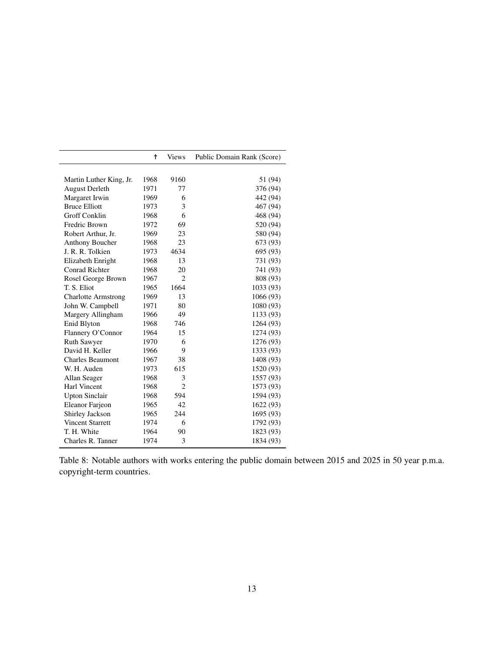|                            | $\ddagger$ | <b>Views</b>   | Public Domain Rank (Score) |
|----------------------------|------------|----------------|----------------------------|
|                            |            |                |                            |
| Martin Luther King, Jr.    | 1968       | 9160           | 51 (94)                    |
| <b>August Derleth</b>      | 1971       | 77             | 376 (94)                   |
| Margaret Irwin             | 1969       | 6              | 442 (94)                   |
| <b>Bruce Elliott</b>       | 1973       | 3              | 467 (94)                   |
| Groff Conklin              | 1968       | 6              | 468 (94)                   |
| Fredric Brown              | 1972       | 69             | 520 (94)                   |
| Robert Arthur, Jr.         | 1969       | 23             | 580 (94)                   |
| Anthony Boucher            | 1968       | 23             | 673 (93)                   |
| J. R. R. Tolkien           | 1973       | 4634           | 695 (93)                   |
| Elizabeth Enright          | 1968       | 13             | 731 (93)                   |
| <b>Conrad Richter</b>      | 1968       | 20             | 741 (93)                   |
| Rosel George Brown         | 1967       | $\overline{2}$ | 808 (93)                   |
| T. S. Eliot                | 1965       | 1664           | 1033 (93)                  |
| <b>Charlotte Armstrong</b> | 1969       | 13             | 1066 (93)                  |
| John W. Campbell           | 1971       | 80             | 1080 (93)                  |
| Margery Allingham          | 1966       | 49             | 1133 (93)                  |
| Enid Blyton                | 1968       | 746            | 1264 (93)                  |
| Flannery O'Connor          | 1964       | 15             | 1274 (93)                  |
| <b>Ruth Sawyer</b>         | 1970       | 6              | 1276 (93)                  |
| David H. Keller            | 1966       | 9              | 1333 (93)                  |
| <b>Charles Beaumont</b>    | 1967       | 38             | 1408 (93)                  |
| W. H. Auden                | 1973       | 615            | 1520 (93)                  |
| Allan Seager               | 1968       | 3              | 1557 (93)                  |
| Harl Vincent               | 1968       | $\overline{2}$ | 1573 (93)                  |
| <b>Upton Sinclair</b>      | 1968       | 594            | 1594 (93)                  |
| Eleanor Farjeon            | 1965       | 42             | 1622 (93)                  |
| Shirley Jackson            | 1965       | 244            | 1695 (93)                  |
| <b>Vincent Starrett</b>    | 1974       | 6              | 1792 (93)                  |
| T. H. White                | 1964       | 90             | 1823 (93)                  |
| Charles R. Tanner          | 1974       | 3              | 1834 (93)                  |

<span id="page-12-0"></span>Table 8: Notable authors with works entering the public domain between 2015 and 2025 in 50 year p.m.a. copyright-term countries.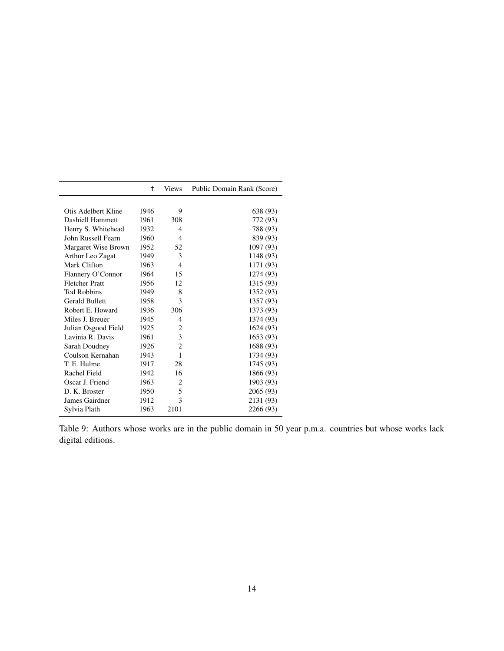|                       | t    | <b>Views</b>   | Public Domain Rank (Score) |
|-----------------------|------|----------------|----------------------------|
|                       |      |                |                            |
| Otis Adelbert Kline   | 1946 | 9              | 638 (93)                   |
| Dashiell Hammett      | 1961 | 308            | 772 (93)                   |
| Henry S. Whitehead    | 1932 | $\overline{4}$ | 788 (93)                   |
| John Russell Fearn    | 1960 | $\overline{4}$ | 839 (93)                   |
| Margaret Wise Brown   | 1952 | 52             | 1097 (93)                  |
| Arthur Leo Zagat      | 1949 | 3              | 1148 (93)                  |
| Mark Clifton          | 1963 | $\overline{4}$ | 1171 (93)                  |
| Flannery O'Connor     | 1964 | 15             | 1274 (93)                  |
| <b>Fletcher Pratt</b> | 1956 | 12             | 1315 (93)                  |
| <b>Tod Robbins</b>    | 1949 | 8              | 1352 (93)                  |
| <b>Gerald Bullett</b> | 1958 | 3              | 1357 (93)                  |
| Robert E. Howard      | 1936 | 306            | 1373 (93)                  |
| Miles J. Breuer       | 1945 | 4              | 1374 (93)                  |
| Julian Osgood Field   | 1925 | $\overline{c}$ | 1624 (93)                  |
| Lavinia R. Davis      | 1961 | 3              | 1653 (93)                  |
| Sarah Doudney         | 1926 | $\overline{2}$ | 1688 (93)                  |
| Coulson Kernahan      | 1943 | 1              | 1734 (93)                  |
| T. E. Hulme           | 1917 | 28             | 1745 (93)                  |
| Rachel Field          | 1942 | 16             | 1866 (93)                  |
| Oscar J. Friend       | 1963 | $\overline{2}$ | 1903 (93)                  |
| D. K. Broster         | 1950 | 5              | 2065 (93)                  |
| James Gairdner        | 1912 | 3              | 2131 (93)                  |
| Sylvia Plath          | 1963 | 2101           | 2266 (93)                  |

<span id="page-13-0"></span>Table 9: Authors whose works are in the public domain in 50 year p.m.a. countries but whose works lack digital editions.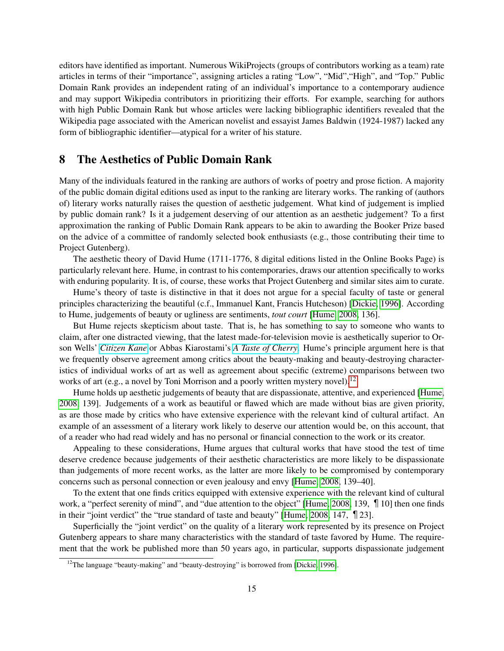editors have identified as important. Numerous WikiProjects (groups of contributors working as a team) rate articles in terms of their "importance", assigning articles a rating "Low", "Mid","High", and "Top." Public Domain Rank provides an independent rating of an individual's importance to a contemporary audience and may support Wikipedia contributors in prioritizing their efforts. For example, searching for authors with high Public Domain Rank but whose articles were lacking bibliographic identifiers revealed that the Wikipedia page associated with the American novelist and essayist James Baldwin (1924-1987) lacked any form of bibliographic identifier—atypical for a writer of his stature.

## 8 The Aesthetics of Public Domain Rank

Many of the individuals featured in the ranking are authors of works of poetry and prose fiction. A majority of the public domain digital editions used as input to the ranking are literary works. The ranking of (authors of) literary works naturally raises the question of aesthetic judgement. What kind of judgement is implied by public domain rank? Is it a judgement deserving of our attention as an aesthetic judgement? To a first approximation the ranking of Public Domain Rank appears to be akin to awarding the Booker Prize based on the advice of a committee of randomly selected book enthusiasts (e.g., those contributing their time to Project Gutenberg).

The aesthetic theory of David Hume (1711-1776, 8 digital editions listed in the Online Books Page) is particularly relevant here. Hume, in contrast to his contemporaries, draws our attention specifically to works with enduring popularity. It is, of course, these works that Project Gutenberg and similar sites aim to curate.

Hume's theory of taste is distinctive in that it does not argue for a special faculty of taste or general principles characterizing the beautiful (c.f., Immanuel Kant, Francis Hutcheson) [\[Dickie, 1996\]](#page-16-10). According to Hume, judgements of beauty or ugliness are sentiments, *tout court* [\[Hume, 2008,](#page-16-11) 136].

But Hume rejects skepticism about taste. That is, he has something to say to someone who wants to claim, after one distracted viewing, that the latest made-for-television movie is aesthetically superior to Orson Wells' *[Citizen Kane](https://en.wikipedia.org/wiki/Citizen_Kane)* or Abbas Kiarostami's *[A Taste of Cherry](https://en.wikipedia.org/wiki/Taste_of_Cherry)*. Hume's principle argument here is that we frequently observe agreement among critics about the beauty-making and beauty-destroying characteristics of individual works of art as well as agreement about specific (extreme) comparisons between two works of art (e.g., a novel by Toni Morrison and a poorly written mystery novel).<sup>[12](#page-14-0)</sup>

Hume holds up aesthetic judgements of beauty that are dispassionate, attentive, and experienced [\[Hume,](#page-16-11) [2008,](#page-16-11) 139]. Judgements of a work as beautiful or flawed which are made without bias are given priority, as are those made by critics who have extensive experience with the relevant kind of cultural artifact. An example of an assessment of a literary work likely to deserve our attention would be, on this account, that of a reader who had read widely and has no personal or financial connection to the work or its creator.

Appealing to these considerations, Hume argues that cultural works that have stood the test of time deserve credence because judgements of their aesthetic characteristics are more likely to be dispassionate than judgements of more recent works, as the latter are more likely to be compromised by contemporary concerns such as personal connection or even jealousy and envy [\[Hume, 2008,](#page-16-11) 139–40].

To the extent that one finds critics equipped with extensive experience with the relevant kind of cultural work, a "perfect serenity of mind", and "due attention to the object" [\[Hume, 2008,](#page-16-11) 139,  $\P$  10] then one finds in their "joint verdict" the "true standard of taste and beauty" [\[Hume, 2008,](#page-16-11) 147, ¶23].

Superficially the "joint verdict" on the quality of a literary work represented by its presence on Project Gutenberg appears to share many characteristics with the standard of taste favored by Hume. The requirement that the work be published more than 50 years ago, in particular, supports dispassionate judgement

<span id="page-14-0"></span> $12$ The language "beauty-making" and "beauty-destroying" is borrowed from [\[Dickie, 1996\]](#page-16-10).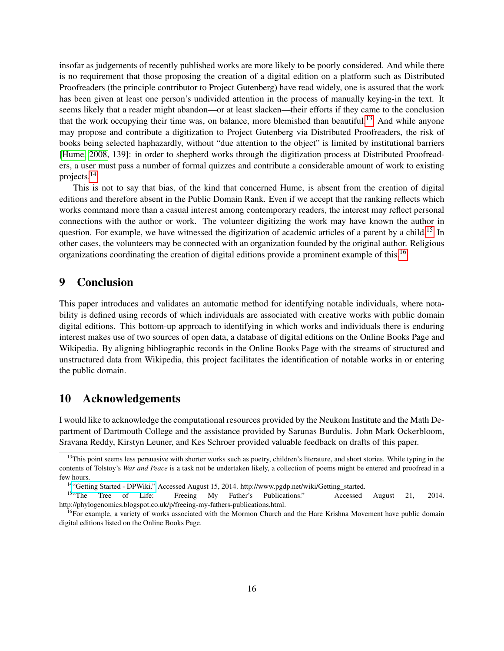insofar as judgements of recently published works are more likely to be poorly considered. And while there is no requirement that those proposing the creation of a digital edition on a platform such as Distributed Proofreaders (the principle contributor to Project Gutenberg) have read widely, one is assured that the work has been given at least one person's undivided attention in the process of manually keying-in the text. It seems likely that a reader might abandon—or at least slacken—their efforts if they came to the conclusion that the work occupying their time was, on balance, more blemished than beautiful.<sup>[13](#page-15-0)</sup> And while anyone may propose and contribute a digitization to Project Gutenberg via Distributed Proofreaders, the risk of books being selected haphazardly, without "due attention to the object" is limited by institutional barriers [\[Hume, 2008,](#page-16-11) 139]: in order to shepherd works through the digitization process at Distributed Proofreaders, a user must pass a number of formal quizzes and contribute a considerable amount of work to existing projects.[14](#page-15-1)

This is not to say that bias, of the kind that concerned Hume, is absent from the creation of digital editions and therefore absent in the Public Domain Rank. Even if we accept that the ranking reflects which works command more than a casual interest among contemporary readers, the interest may reflect personal connections with the author or work. The volunteer digitizing the work may have known the author in question. For example, we have witnessed the digitization of academic articles of a parent by a child.<sup>[15](#page-15-2)</sup> In other cases, the volunteers may be connected with an organization founded by the original author. Religious organizations coordinating the creation of digital editions provide a prominent example of this.<sup>[16](#page-15-3)</sup>

### 9 Conclusion

This paper introduces and validates an automatic method for identifying notable individuals, where notability is defined using records of which individuals are associated with creative works with public domain digital editions. This bottom-up approach to identifying in which works and individuals there is enduring interest makes use of two sources of open data, a database of digital editions on the Online Books Page and Wikipedia. By aligning bibliographic records in the Online Books Page with the streams of structured and unstructured data from Wikipedia, this project facilitates the identification of notable works in or entering the public domain.

### 10 Acknowledgements

I would like to acknowledge the computational resources provided by the Neukom Institute and the Math Department of Dartmouth College and the assistance provided by Sarunas Burdulis. John Mark Ockerbloom, Sravana Reddy, Kirstyn Leuner, and Kes Schroer provided valuable feedback on drafts of this paper.

<span id="page-15-0"></span><sup>&</sup>lt;sup>13</sup>This point seems less persuasive with shorter works such as poetry, children's literature, and short stories. While typing in the contents of Tolstoy's *War and Peace* is a task not be undertaken likely, a collection of poems might be entered and proofread in a few hours.

<span id="page-15-2"></span><span id="page-15-1"></span><sup>&</sup>lt;sup>14"</sup>Getting Started - DPWiki." Accessed August 15, 2014. http://www.pgdp.net/wiki/Getting\_started.<br><sup>15</sup>"The Tree of Life: Freeing My Father's Publications." Accessed

<sup>15</sup>"The Tree of Life: Freeing My Father's Publications." Accessed August 21, 2014. http://phylogenomics.blogspot.co.uk/p/freeing-my-fathers-publications.html.

<span id="page-15-3"></span><sup>&</sup>lt;sup>16</sup>For example, a variety of works associated with the Mormon Church and the Hare Krishna Movement have public domain digital editions listed on the Online Books Page.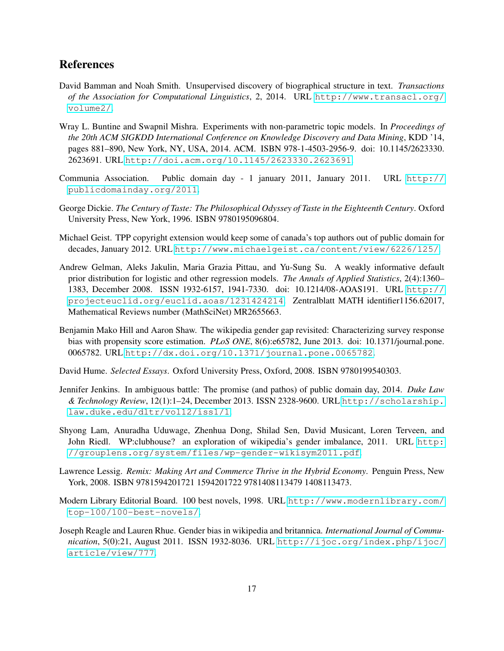# References

- <span id="page-16-5"></span>David Bamman and Noah Smith. Unsupervised discovery of biographical structure in text. *Transactions of the Association for Computational Linguistics*, 2, 2014. URL [http://www.transacl.org/](http://www.transacl.org/volume2/) [volume2/](http://www.transacl.org/volume2/).
- <span id="page-16-6"></span>Wray L. Buntine and Swapnil Mishra. Experiments with non-parametric topic models. In *Proceedings of the 20th ACM SIGKDD International Conference on Knowledge Discovery and Data Mining*, KDD '14, pages 881–890, New York, NY, USA, 2014. ACM. ISBN 978-1-4503-2956-9. doi: 10.1145/2623330. 2623691. URL <http://doi.acm.org/10.1145/2623330.2623691>.
- <span id="page-16-0"></span>Communia Association. Public domain day - 1 january 2011, January 2011. URL [http://](http://publicdomainday.org/2011) [publicdomainday.org/2011](http://publicdomainday.org/2011).
- <span id="page-16-10"></span>George Dickie. *The Century of Taste: The Philosophical Odyssey of Taste in the Eighteenth Century*. Oxford University Press, New York, 1996. ISBN 9780195096804.
- <span id="page-16-9"></span>Michael Geist. TPP copyright extension would keep some of canada's top authors out of public domain for decades, January 2012. URL <http://www.michaelgeist.ca/content/view/6226/125/>.
- <span id="page-16-7"></span>Andrew Gelman, Aleks Jakulin, Maria Grazia Pittau, and Yu-Sung Su. A weakly informative default prior distribution for logistic and other regression models. *The Annals of Applied Statistics*, 2(4):1360– 1383, December 2008. ISSN 1932-6157, 1941-7330. doi: 10.1214/08-AOAS191. URL [http://](http://projecteuclid.org/euclid.aoas/1231424214) [projecteuclid.org/euclid.aoas/1231424214](http://projecteuclid.org/euclid.aoas/1231424214). Zentralblatt MATH identifier1156.62017, Mathematical Reviews number (MathSciNet) MR2655663.
- <span id="page-16-3"></span>Benjamin Mako Hill and Aaron Shaw. The wikipedia gender gap revisited: Characterizing survey response bias with propensity score estimation. *PLoS ONE*, 8(6):e65782, June 2013. doi: 10.1371/journal.pone. 0065782. URL <http://dx.doi.org/10.1371/journal.pone.0065782>.
- <span id="page-16-11"></span>David Hume. *Selected Essays*. Oxford University Press, Oxford, 2008. ISBN 9780199540303.
- <span id="page-16-1"></span>Jennifer Jenkins. In ambiguous battle: The promise (and pathos) of public domain day, 2014. *Duke Law & Technology Review*, 12(1):1–24, December 2013. ISSN 2328-9600. URL [http://scholarship.](http://scholarship.law.duke.edu/dltr/vol12/iss1/1) [law.duke.edu/dltr/vol12/iss1/1](http://scholarship.law.duke.edu/dltr/vol12/iss1/1).
- <span id="page-16-2"></span>Shyong Lam, Anuradha Uduwage, Zhenhua Dong, Shilad Sen, David Musicant, Loren Terveen, and John Riedl. WP:clubhouse? an exploration of wikipedia's gender imbalance, 2011. URL [http:](http://grouplens.org/system/files/wp-gender-wikisym2011.pdf) [//grouplens.org/system/files/wp-gender-wikisym2011.pdf](http://grouplens.org/system/files/wp-gender-wikisym2011.pdf).
- Lawrence Lessig. *Remix: Making Art and Commerce Thrive in the Hybrid Economy*. Penguin Press, New York, 2008. ISBN 9781594201721 1594201722 9781408113479 1408113473.
- <span id="page-16-8"></span>Modern Library Editorial Board. 100 best novels, 1998. URL [http://www.modernlibrary.com/](http://www.modernlibrary.com/top-100/100-best-novels/) [top-100/100-best-novels/](http://www.modernlibrary.com/top-100/100-best-novels/).
- <span id="page-16-4"></span>Joseph Reagle and Lauren Rhue. Gender bias in wikipedia and britannica. *International Journal of Communication*, 5(0):21, August 2011. ISSN 1932-8036. URL [http://ijoc.org/index.php/ijoc/](http://ijoc.org/index.php/ijoc/article/view/777) [article/view/777](http://ijoc.org/index.php/ijoc/article/view/777).